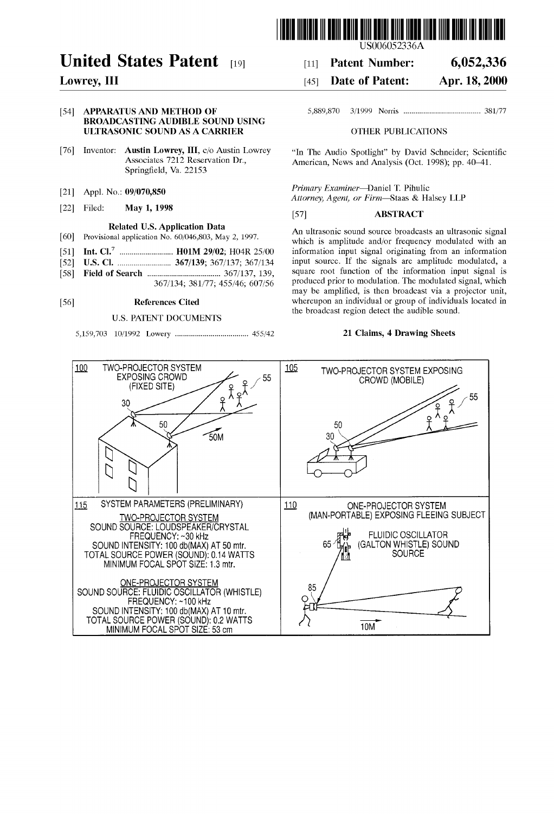

# United States Patent [19] 11 Patent Number: 6,052,336

## BROADCASTING AUDIBLE SOUND USING ULTRASONIC SOUNDAS A CARRIER

- /6] Inventor: **Austin Lowrey, III**, c/o Austin Lowrey ASSociates 7212 Reservation Dr., Springfield, Va. 22153
- [21] Appl. No.: 09/070,850
- [22] Filed: **May 1, 1998**

## Related U.S. Application Data

- $[60]$ Provisional application No. 60/046,803, May 2, 1997.
- Int. Cl." ........................... H01M 29/02; H04R 25/00  $[51]$
- U.S. Cl. ........................... 367/139; 367/137; 367/134  $[52]$
- $[58]$ Field of Search ..................................... 367/137, 139, 367/134; 381/77; 455/46; 607/56

#### $[56]$ References Cited

### U.S. PATENT DOCUMENTS

#### 5,159,703 10/1992 Lowery ..................................... 455/42

# Lowrey, III and the contract of the contract of Patent: Apr. 18, 2000

54 APPARATUS AND METHOD OF 5,889,870 3/1999 Norris ....................................... 381/77

### OTHER PUBLICATIONS

"In The Audio Spotlight" by David Schneider; Scientific American, News and Analysis (Oct. 1998); pp. 40–41.

Primary Examiner-Daniel T. Pihulic Attorney, Agent, or Firm-Staas & Halsey LLP

#### [57] **ABSTRACT**

An ultrasonic sound source broadcasts an ultrasonic signal which is amplitude and/or frequency modulated with an information input Signal originating from an information input Source. If the Signals are amplitude modulated, a square root function of the information input signal is produced prior to modulation. The modulated signal, which may be amplified, is then broadcast via a projector unit, whereupon an individual or group of individuals located in the broadcast region detect the audible Sound.

#### 21 Claims, 4 Drawing Sheets

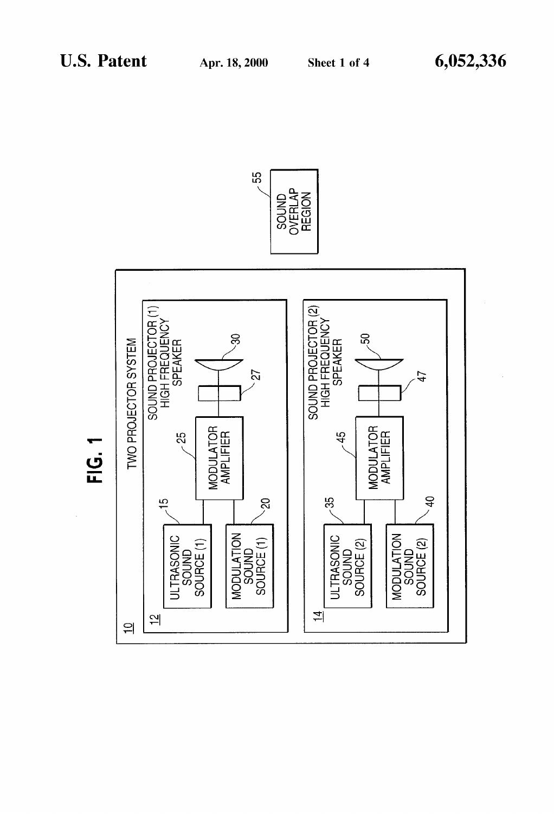

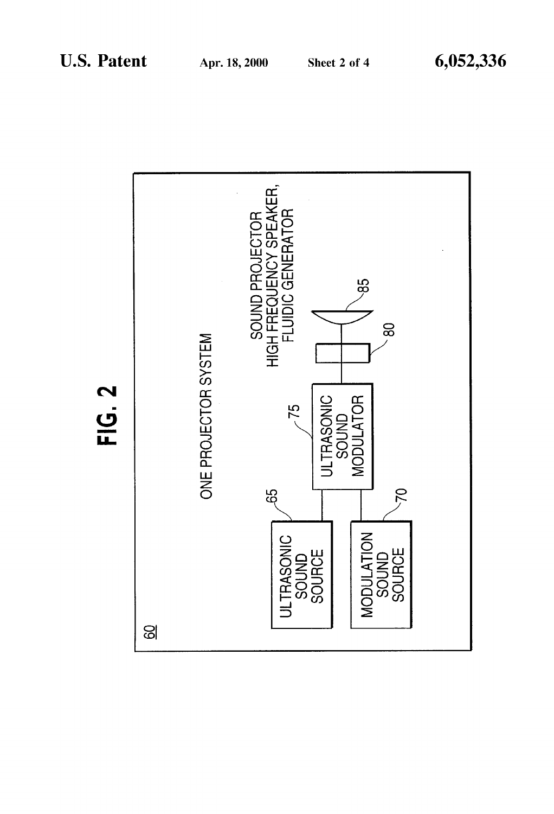

FIG. 2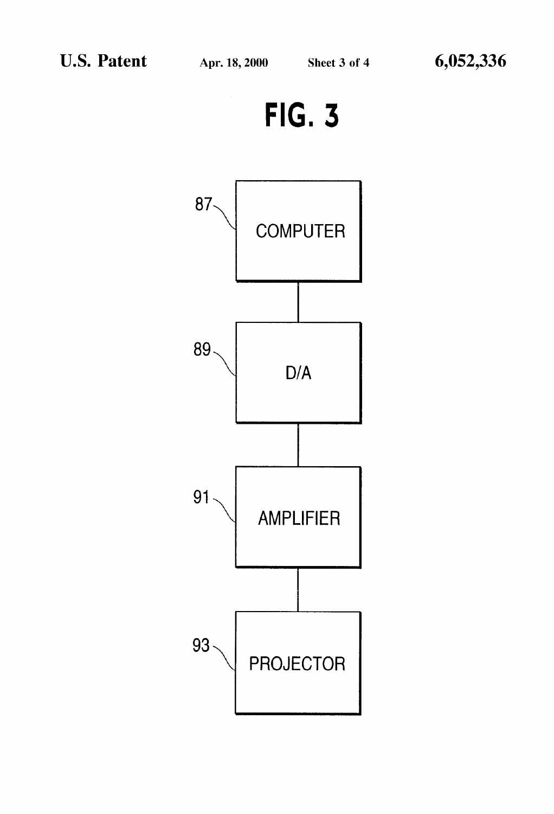

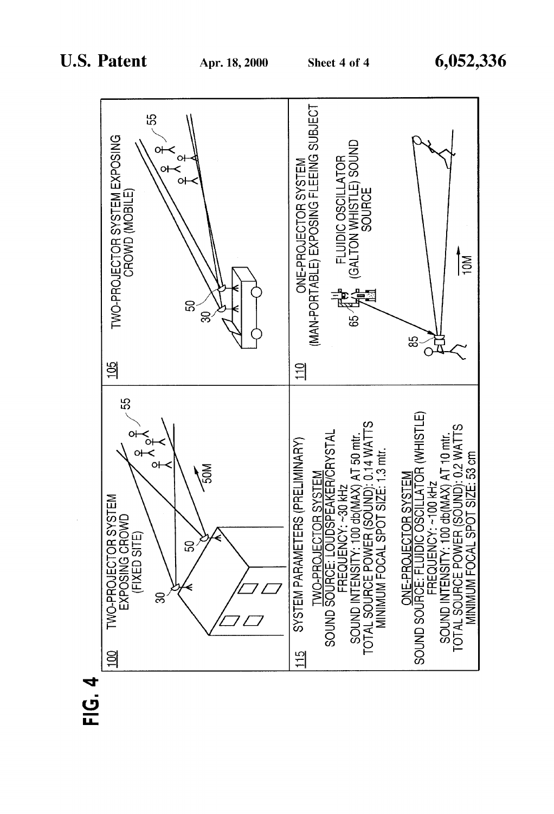

**4<br>FIG.4**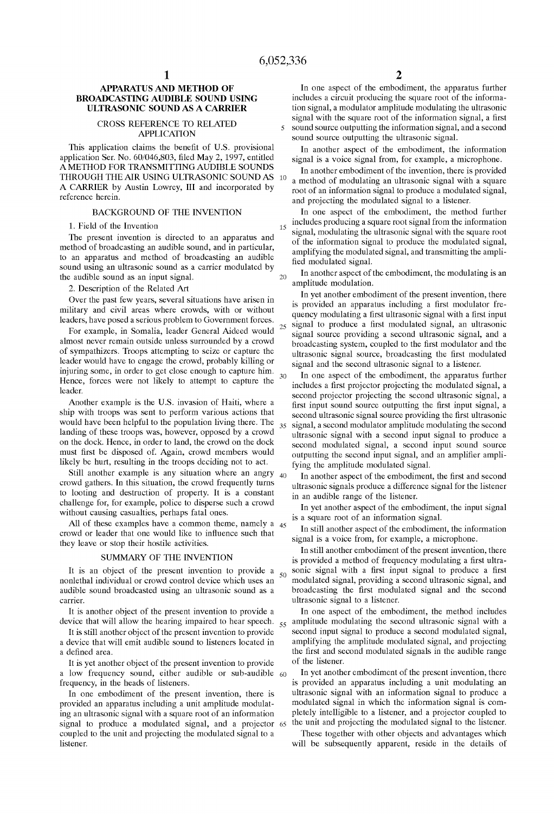25

 $30$ 

35

## APPARATUS AND METHOD OF BROADCASTING AUDIBLE SOUND USING ULTRASONIC SOUNDAS A CARRIER

#### CROSS REFERENCE TO RELATED APPLICATION

This application claims the benefit of U.S. provisional application Ser. No. 60/046,803, filed May 2, 1997, entitled A METHOD FOR TRANSMITTING AUDIBLE SOUNDS THROUGH THE AIR USING ULTRASONIC SOUND AS 10 A CARRIER by Austin Lowrey, III and incorporated by reference herein.

#### BACKGROUND OF THE INVENTION

1. Field of the Invention

The present invention is directed to an apparatus and method of broadcasting an audible Sound, and in particular, to an apparatus and method of broadcasting an audible Sound using an ultraSonic Sound as a carrier modulated by the audible Sound as an input signal.

2. Description of the Related Art

Over the past few years, several situations have arisen in military and civil areas where crowds, with or without leaders, have posed a serious problem to Government forces.

For example, in Somalia, leader General Aideed would almost never remain outside unless Surrounded by a crowd of Sympathizers. Troops attempting to seize or capture the leader would have to engage the crowd, probably killing or injuring some, in order to get close enough to capture him. Hence, forces were not likely to attempt to capture the leader.

Another example is the U.S. invasion of Haiti, where a ship with troops was Sent to perform various actions that would have been helpful to the population living there. The landing of these troops was, however, opposed by a crowd on the dock. Hence, in order to land, the crowd on the dock must first be disposed of. Again, crowd members would likely be hurt, resulting in the troops deciding not to act.

Still another example is any situation where an angry  $_{40}$ crowd gathers. In this situation, the crowd frequently turns to looting and destruction of property. It is a constant challenge for, for example, police to disperse Such a crowd without causing casualties, perhaps fatal ones.

All of these examples have a common theme, namely a  $_{45}$ crowd or leader that one would like to influence Such that they leave or stop their hostile activities.

#### SUMMARY OF THE INVENTION

It is an object of the present invention to provide a nonlethal individual or crowd control device which uses an audible sound broadcasted using an ultrasonic sound as a carrier. 50

It is another object of the present invention to provide a

It is still another object of the present invention to provide a device that will emit audible Sound to listeners located in a defined area.

It is yet another object of the present invention to provide a low frequency Sound, either audible or Sub-audible 60 frequency, in the heads of listeners.

In one embodiment of the present invention, there is provided an apparatus including a unit amplitude modulat ing an ultrasonic signal with a square root of an information Signal to produce a modulated Signal, and a projector 65 coupled to the unit and projecting the modulated signal to a listener.

 $\mathfrak{D}$ 

In one aspect of the embodiment, the apparatus further includes a circuit producing the Square root of the informa tion signal, a modulator amplitude modulating the ultrasonic signal with the square root of the information signal, a first sound source outputting the information signal, and a second sound source outputting the ultrasonic signal.

In another aspect of the embodiment, the information signal is a voice signal from, for example, a microphone.

In another embodiment of the invention, there is provided a method of modulating an ultrasonic signal with a square root of an information signal to produce a modulated Signal, and projecting the modulated Signal to a listener.

In one aspect of the embodiment, the method further includes producing a Square root Signal from the information signal, modulating the ultrasonic signal with the square root of the information signal to produce the modulated signal, amplifying the modulated signal, and transmitting the amplified modulated signal.

In another aspect of the embodiment, the modulating is an amplitude modulation.

In yet another embodiment of the present invention, there is provided an apparatus including a first modulator fre quency modulating a first ultrasonic signal with a first input signal to produce a first modulated signal, an ultrasonic signal source providing a second ultrasonic signal, and a broadcasting System, coupled to the first modulator and the ultrasonic signal source, broadcasting the first modulated signal and the second ultrasonic signal to a listener.

In one aspect of the embodiment, the apparatus further includes a first projector projecting the modulated Signal, a second projector projecting the second ultrasonic signal, a first input sound source outputting the first input signal, a second ultrasonic signal source providing the first ultrasonic signal, a second modulator amplitude modulating the second ultrasonic signal with a second input signal to produce a second modulated signal, a second input sound source outputting the second input signal, and an amplifier amplifying the amplitude modulated signal.

In another aspect of the embodiment, the first and Second ultrasonic signals produce a difference signal for the listener in an audible range of the listener.

In yet another aspect of the embodiment, the input signal is a square root of an information signal.

In Still another aspect of the embodiment, the information signal is a voice from, for example, a microphone.

In still another embodiment of the present invention, there is provided a method of frequency modulating a first ultra sonic signal with a first input signal to produce a first modulated signal, providing a second ultrasonic signal, and broadcasting the first modulated signal and the second ultrasonic signal to a listener.

device that will allow the hearing impaired to hear speech.  $_{55}$  amplitude modulating the second ultrasonic signal with a In one aspect of the embodiment, the method includes Second input signal to produce a Second modulated Signal, amplifying the amplitude modulated Signal, and projecting the first and second modulated signals in the audible range of the listener.

> In yet another embodiment of the present invention, there is provided an apparatus including a unit modulating an ultrasonic signal with an information signal to produce a modulated Signal in which the information signal is com pletely intelligible to a listener, and a projector coupled to the unit and projecting the modulated Signal to the listener.

These together with other objects and advantages which will be subsequently apparent, reside in the details of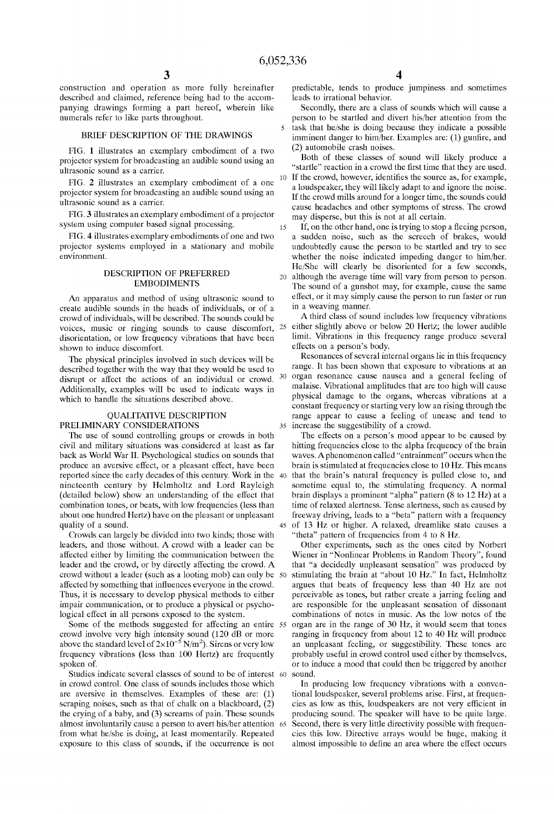$30\,$ 

construction and operation as more fully hereinafter described and claimed, reference being had to the accompanying drawings forming a part hereof, wherein like numerals refer to like parts throughout.

#### BRIEF DESCRIPTION OF THE DRAWINGS

FIG. 1 illustrates an exemplary embodiment of a two projector system for broadcasting an audible sound using an ultrasonic sound as a carrier.

FIG. 2 illustrates an exemplary embodiment of a one projector system for broadcasting an audible sound using an ultrasonic sound as a carrier.

FIG. 3 illustrates an exemplary embodiment of a projector system using computer based signal processing.

FIG. 4 illustrates exemplary embodiments of one and two projector systems employed in a stationary and mobile environment.

#### **DESCRIPTION OF PREFERRED EMBODIMENTS**

An apparatus and method of using ultrasonic sound to create audible sounds in the heads of individuals, or of a crowd of individuals, will be described. The sounds could be voices, music or ringing sounds to cause discomfort, 25 disorientation, or low frequency vibrations that have been shown to induce discomfort.

The physical principles involved in such devices will be described together with the way that they would be used to disrupt or affect the actions of an individual or crowd. Additionally, examples will be used to indicate ways in which to handle the situations described above.

## **QUALITATIVE DESCRIPTION** PRELIMINARY CONSIDERATIONS

The use of sound controlling groups or crowds in both civil and military situations was considered at least as far back as World War II. Psychological studies on sounds that produce an aversive effect, or a pleasant effect, have been reported since the early decades of this century. Work in the nineteenth century by Helmholtz and Lord Rayleigh (detailed below) show an understanding of the effect that combination tones, or beats, with low frequencies (less than about one hundred Hertz) have on the pleasant or unpleasant quality of a sound.

Crowds can largely be divided into two kinds; those with leaders, and those without. A crowd with a leader can be affected either by limiting the communication between the leader and the crowd, or by directly affecting the crowd. A crowd without a leader (such as a looting mob) can only be 50 affected by something that influences everyone in the crowd. Thus, it is necessary to develop physical methods to either impair communication, or to produce a physical or psychological effect in all persons exposed to the system.

Some of the methods suggested for affecting an entire 55 crowd involve very high intensity sound (120 dB or more above the standard level of  $2 \times 10^{-5}$  N/m<sup>2</sup>). Sirens or very low frequency vibrations (less than 100 Hertz) are frequently spoken of.

Studies indicate several classes of sound to be of interest 60 in crowd control. One class of sounds includes those which are aversive in themselves. Examples of these are: (1) scraping noises, such as that of chalk on a blackboard, (2) the crying of a baby, and (3) screams of pain. These sounds almost involuntarily cause a person to avert his/her attention 65 from what he/she is doing, at least momentarily. Repeated exposure to this class of sounds, if the occurrence is not

predictable, tends to produce jumpiness and sometimes leads to irrational behavior.

Secondly, there are a class of sounds which will cause a person to be startled and divert his/her attention from the task that he/she is doing because they indicate a possible imminent danger to him/her. Examples are: (1) gunfire, and (2) automobile crash noises.

Both of these classes of sound will likely produce a "startle" reaction in a crowd the first time that they are used. 10 If the crowd, however, identifies the source as, for example, a loudspeaker, they will likely adapt to and ignore the noise. If the crowd mills around for a longer time, the sounds could cause headaches and other symptoms of stress. The crowd may disperse, but this is not at all certain.

If, on the other hand, one is trying to stop a fleeing person, a sudden noise, such as the screech of brakes, would undoubtedly cause the person to be startled and try to see whether the noise indicated impeding danger to him/her. He/She will clearly be disoriented for a few seconds. 20 although the average time will vary from person to person. The sound of a gunshot may, for example, cause the same effect, or it may simply cause the person to run faster or run in a weaving manner.

A third class of sound includes low frequency vibrations either slightly above or below 20 Hertz; the lower audible limit. Vibrations in this frequency range produce several effects on a person's body.

Resonances of several internal organs lie in this frequency range. It has been shown that exposure to vibrations at an organ resonance cause nausea and a general feeling of malaise. Vibrational amplitudes that are too high will cause physical damage to the organs, whereas vibrations at a constant frequency or starting very low an rising through the range appear to cause a feeling of unease and tend to 35 increase the suggestibility of a crowd.

The effects on a person's mood appear to be caused by hitting frequencies close to the alpha frequency of the brain waves. A phenomenon called "entrainment" occurs when the brain is stimulated at frequencies close to 10 Hz. This means that the brain's natural frequency is pulled close to, and  $40$ sometime equal to, the stimulating frequency. A normal brain displays a prominent "alpha" pattern (8 to 12 Hz) at a time of relaxed alertness. Tense alertness, such as caused by freeway driving, leads to a "beta" pattern with a frequency 45 of 13 Hz or higher. A relaxed, dreamlike state causes a "theta" pattern of frequencies from 4 to 8 Hz.

Other experiments, such as the ones cited by Norbert Wiener in "Nonlinear Problems in Random Theory", found that "a decidedly unpleasant sensation" was produced by stimulating the brain at "about 10 Hz." In fact, Helmholtz argues that beats of frequency less than 40 Hz are not perceivable as tones, but rather create a jarring feeling and are responsible for the unpleasant sensation of dissonant combinations of notes in music. As the low notes of the organ are in the range of 30 Hz, it would seem that tones ranging in frequency from about 12 to 40 Hz will produce an unpleasant feeling, or suggestibility. These tones are probably useful in crowd control used either by themselves, or to induce a mood that could then be triggered by another sound.

In producing low frequency vibrations with a conventional loudspeaker, several problems arise. First, at frequencies as low as this, loudspeakers are not very efficient in producing sound. The speaker will have to be quite large. Second, there is very little directivity possible with frequencies this low. Directive arrays would be huge, making it almost impossible to define an area where the effect occurs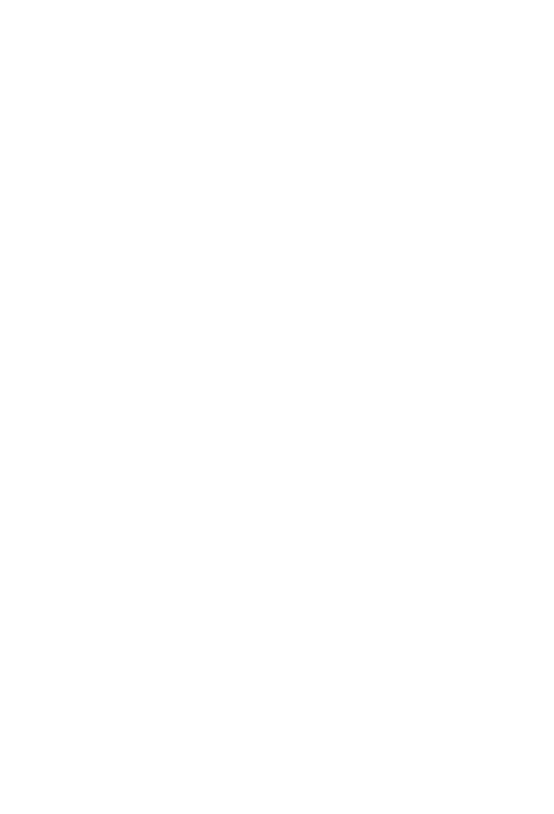or to draw a line in the sand where individuals start feeling the effect when they cross it. Finally, the signal would be strongest at the speakers, requiring protective gear for at least the operators, and probably for all of the crowd control personnel.

Methods to impede communication between a speaker and a crowd have also been examined. One of the most interesting is techniques includes playing back to a speaker his/her own voice with a slight delay (less than a second). The speaker stutters and trips on his/her words unless he/she 10 slows down his/her rate of delivery a great deal.

If two moderately loud audible tones of different frequency are received by the ear simultaneously, then, in addition to the two original tones, somewhat weaker tones with frequencies given by the sum and the difference of the 15 original frequencies can be heard. This is called the Beat Frequency phenomenon when the two frequencies are close together, and the Combination Tone phenomenon when they are not. The combination tones are caused by a non-linear response by the ear to somewhat loud sounds. The details of 20 the production of these tones are discussed in more detail herein below.

It is important, and in fact one of the critical physical principles in this invention, that an audible combination tone can be heard even when the two original tones are ultrasonic 25 so that their frequencies lie above 20,000 Hz, the upper limit of audibility. In this case, the combination tone corresponds to the difference of the two original frequencies and is audible if it lies in the 20–20,000 Hz range of audibility.

The present invention shows ways in which, by altering 30 the frequency and amplitude of one of the ultrasonic tones, the difference tone can be made to be a single tone (possibly of very low frequency), a scream or shot, or a voice.

More detailed discussions will be deferred until the "Technical Description" hereinbelow. We will discuss a way 35 modulated signal, amplifier 80 (such as a conventional of causing a targeted person (or group) to hear whatever pattern of sound, be it speech or anything else, that we wish.

A combination tone is produced in the heads of all individuals exposed to both ultrasonic tones. If you are exposed to only one, you hear nothing, Additionally, these individuals are unable to detect the source of the sound.

The following exemplary systems are described. One includes two directional projectors, each capable of generating a powerful ultrasonic tone and directing the beam to a desired point or area. At least one of the projectors is capable 45 of modulating the sound either in frequency, amplitude or both. The projectors would probably be separated by some distance, but this depends on the desired effect, which governs the design.

Another includes a single projector with the capability of 50 modulating the amplitude of the projected signal.

More specifically, FIG. 1 illustrates an exemplary embodiment of a two projector system for broadcasting an audible sound using an ultrasonic sound as a carrier. Two projector system  $10$  includes, for example, first projection  $55$ unit 12 and second projection unit 14. First projection unit 12 includes, for example, ultrasonic sound source 15 (such as a conventional ultrasonic signal generator) which generates an ultrasonic signal, modulation sound source 20 (such as a microphone) which generates an information signal 60 (such as a tone), modulator 25 (such as a conventional frequency modulator) which frequency modulates the ultrasonic signal with the information signal to produce a modulated signal, amplifier 27 (such as a conventional amplifier) amplifying the modulated signal, and projector  $30$  (such as  $65$ an ultrasonic speaker—a tweeter type speaker) which emits the amplified signal. Second projection unit 14 includes, for

6

example, ultrasonic sound source 35 (such as a conventional ultrasonic signal generator) which generates another ultrasonic signal, modulation sound source 40 (such as a microphone) which generates another information signal (such as a voice), modulator 45 (such as a conventional amplitude modulator) which amplitude modulates the ultrasonic signal with the information signal to produce a modulated signal, amplifier 37 (such as a conventional amplifier) which amplifies the modulated signal, and projector 50 (such as an ultrasonic speaker—a tweeter type speaker) which emits the amplified signal. Sound overlap region 55 is the region where the sound waves of projectors  $30$  and  $50$ overlap. Two projector system 10 is not, however, limited to the embodiments described above. For example, two projector system 10 may include first projector unit 12 and second projector unit 14, wherein projector unit 12 includes, for example, ultrasonic sound source 15, modulation sound source 20, modulator 25, and projector 30, and projector unit 14 includes, for example, ultrasonic sound source 35 and projector 50. That is, projector unit 14 need not have sound source 40. Similarly, sound overlap region 55 is the region where the sound waves of projectors 30 and 50 overlap.

FIG. 2 illustrates an exemplary embodiment of a one projector system for broadcasting an audible sound using ultrasonic sound as a carrier. This system could be for crowd control, an improved hearing aid for the hearing impaired, or to emit audible sound to listeners located in a defined area. One projector system 60 includes, for example, ultrasonic sound source 65 (such as a convention ultrasonic signal generator) which generates an ultrasonic signal, modulation sound source 70 (such as a microphone) which generates an information signal (such as a voice), modulator 75 (such as a conventional amplitude modulator) which modulates the ultrasonic signal with the information signal to produce a amplifier) which amplifies the modulated signal, and projector 85 (such as a conventional ultrasonic speaker a tweeter type speaker) which emits the amplified signal.

FIG. 3 illustrates an exemplary embodiment of a projector 40 system using computer based signal processing. For example, in a one projector system, such as illustrated in FIG. 2, computer 87 operates as ultrasonic sound source 65, modulation sound source 70 and modulator 75. Computer 87 generates an ultrasonic sound signal and generates or inputs an audible sound signal, and then modulates the two signals. Computer 87 can modulate the two signals using, for example, conventional frequency or amplitude modulation techniques or the techniques described hereinbelow. The modulates signal produced by computer 87 is then transmitted to digital-to-analog  $(D/A)$  converter 89, whereupon the digital signal is converted to an analog signal. The analog signal produced by D/A converter 89 is then amplified by amplifier 91, and transmitted to projector 93. Projector 93 then emits the amplified signal to a listener. The same principles can be applied to the two projector system illustrated in FIG. 1.

FIG. 4 illustrates exemplary embodiments of one and two projector systems employed in a stationary and mobile environment. For example, reference numeral 100 illustrates two projector system 10 (illustrated in FIG. 1) in a stationary environment. In this example, projectors 30 and 50 are mounted on the top of a building, and directed towards sound overlap region 55. A person or crowd located in sound overlap region 55, located, for example, 50M from projectors 30 and 50, detects the broadcasted sound(s). Reference numeral 105, on the other hand, illustrates two projector system 10 in a mobile environment. In this example, pro-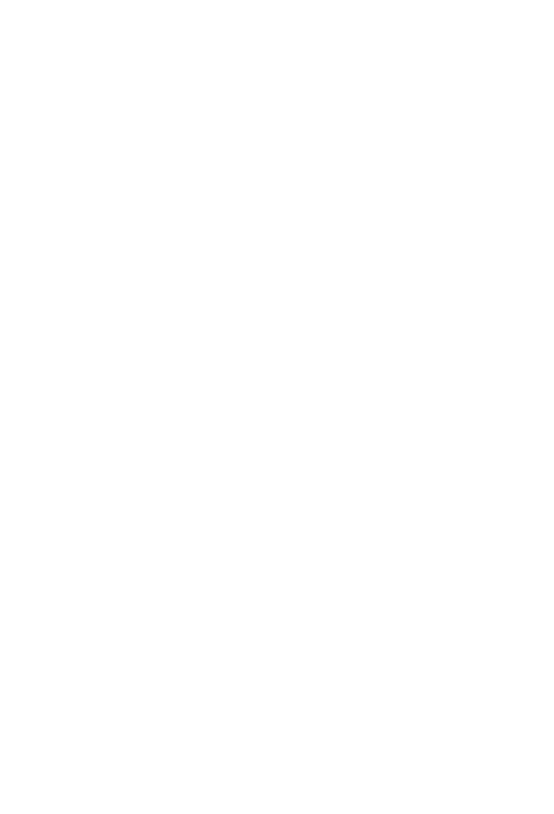$10<sup>10</sup>$ 

15

jectors 30 and 50 are mounted in the back of a vehicle. The vehicle may then be directed to move with the individual or crowd, as the individual or crowd moves, such that the individual or crowd remains in sound overlap region 55.

When employing two projector system 10, system parameters may include, for example, the following: (1) sound source=loudspeaker/crystal,  $(2)$  frequency= $\sim 30$  kHz,  $(3)$ sound intensity=100 db (max) at 50 meters, (4) total source power (sound)=0.14 Watts, and (5) minimum focal spot size=1.3 meters, as illustrated by reference numeral 115 in FIG. 4.

Reference numeral 110 illustrates one projector system 60 (illustrated in FIG. 2) in a man-portable environment. In this example, an individual, such as a police officer, may direct projector 85 of one projector system 60 toward, for example, a fleeing individual. An individual located within the broadcasting area of one projector system 60 will detect a modulated signal projected by projector 85. The modulated signal will include, for example, an ultrasonic sound, such as a whistle, amplitude modulated with an information signal, such as a voice. System parameters may include, for 20 example, the following: (1) sound source=fluidic oscillator (whistle), (2) frequency= $\sim$ 100 kHz, (3) sound intensity=100 db (max) at 10 meters, (4) total source power (sound)= $0.2$ Watts, and (5) minimum focal spot size=53 cm.

Listed below are some of the useful features that a system 25 employing audible tones carried by ultrasonic frequencies would have.

(1) Power: As long as the size of a sound generator is smaller than the wavelength, the power output is proportional to the fourth power of the frequency. That is, the 30 power output of a given sized generator is much higher at high frequencies than it is at low frequencies. Hence, this property makes it simpler to produce high output at high frequencies with smaller generators. This would imply that a 30,000 Hz generator could produce the same sound 35 intensity as a 30 Hz generator  $10^{12}$  times its size. This property makes it fairly simple to produce high power outputs with fairly small generators.

(2) Directivity: The diffraction angle of a reflector or lens in a projector is proportional to the wavelength of the sound  $40$ divided by the diameter of the reflector lens. Since a 30,000 Hz sound wave has a wavelength of 1 cm., parabolic reflectors with diameters of about 1 mtr. will provide excellent directivity. In addition, the short wavelength will make it possible to quickly design "beams" that will possess 45 features, such as fairly sharp shadow regions, so that persons will have a definite perception of the desired effect in the "illuminated" region, but little in the "shadow". Invisible barriers are thus possible. In addition, the relatively small arrays can conceivably be mounted on helicopters, remotely 50 might work. powered aircraft, or balloons.

(3) Stealthiness: Combination tones are produced in the heads of those exposed to both beams. Since the sounds from the individual projectors are inaudible, it will not be easy to identify them as the source of the sound. This will make it difficult for the crowd to respond by attacking the system. In addition, the appearance of sounds in their heads from no apparent source will create alarm or fear in the exposed group. This effect by itself will probably cause a crowd to disperse, particularly if the crowd were composed 60 crowds, instead of the more harmful tear gas after hard to of unsophisticated or superstitious people. Effects of the System

The primary psychological difference between this system and other proposed systems using sound for crowd control is the property creating the sound within the head of 65 Technical Description of the Method the target individual. The effect on a person who suddenly starts to hear sounds with no apparent source is not known.

Since most cultures attribute inner voices either as signs of madness, or as messages from spirits or demons, both of which will invoke powerful emotional reactions, it is expected that the use of a voice will have an immediate intense effect.

Another effect is the low (less than 100 Hz) frequency sound. There are several reasons for this. First, these low frequency sounds will have a higher amplitude, in general, than the voice frequency sounds. Second, sounds at these low frequencies have been shown to increase the suggestiveness or apprehensiveness of exposed persons.

A system using a barrier array so that a person would feel more and more apprehensive as he/she moved in a given direction, and less if he/she turned around and went out. This may require a "trigger", such as a soft voice suggesting that it is dangerous and one should go back might work, in addition to the low frequency sound.

In addition, interference with the brain's alpha rhythm of a targeted individual or group may be achieved. This may cause temporary incapacitation, intense feelings of discomfort which would cause immediate dispersal of the crowd, or departure of the targeted leader.

Other sound patterns are possible, either alone or in combination. Sounds such as random shots, or screams may be very effective when combined with low frequency sounds producing apprehensiveness.

A leader could be singled out by using highly focused beams projected from one projector system 60, that target only the head region of a single person. The sound patterns described above could be used, or one could use the speaker's own voice, with an appropriate delay. The pattern selected would depend on whether it is desired to disrupt the speaker or his speaking ability.

Return to the Situations Described in the Background Section

Whether to use two projector system  $10$  or one projector system 60 depends on the applicable situation. For example, in the "Somalia" situation, the best effect could probably be achieved by using projector system 10, wherein one projector focused on the individual and another broad beam device targeting the crowd. A frequency near the alpha frequency would be directed at the individual to disorient him/her and perhaps make him/her collapse.

The crowd could be handled in a different way, for example, with sounds that induce apprehensiveness, without disabling. Ideally, the crowd would disperse, leaving the leader to be apprehended. In fact, certain characteristic sounds may be known to a particular culture that indicate that a person has a dreaded disease, such as the plague. This, together with sounds causing general apprehensiveness,

The crowd on a dock described in the Haiti example, would be handled in roughly the same way. Sounds causing general discomfort would be mixed with other, for example, culturally specific sounds that would incite fear and discomfort. The intensity of the sounds could be increased for a while, then followed by a scream, or some related noise. Since the source of the sounds is not readily obvious, there will probably be general panic and fleeing.

An ultrasonic device may also be used to control looting control crowds. Additionally, the difficult task of removing residual tear gas is eliminated. An ultrasonic device would be used to control the crowd by exposing them to disorienting sounds, and sounds inducing fear.

The operation of the embodiments illustrated in FIGS. 1–3 will now be described. The system depends largely on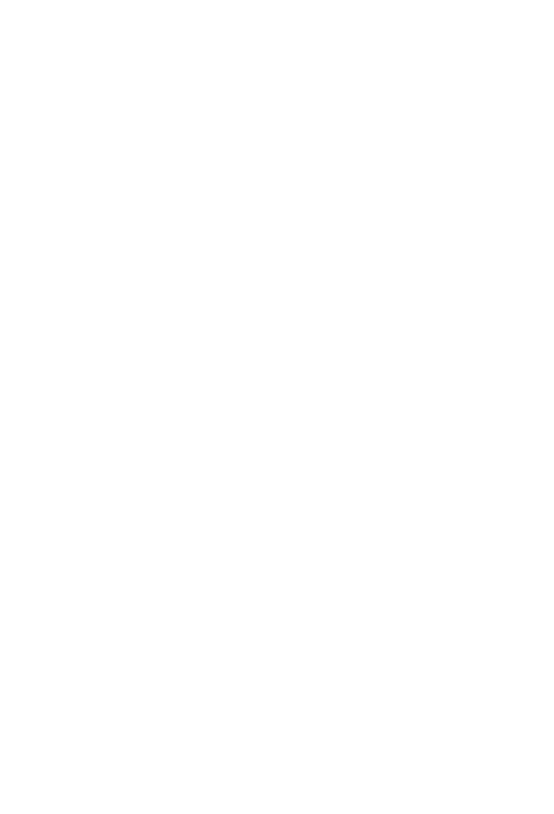the operation of the response of the ear to "moderately" loud sounds, where "moderately" implies sounds loud enough to drive the ear into a non-linear response mode. The nonlinear response of the ear to high amplitude sounds is discussed by, for example, Helmholtz.

The Response of the Ear Let  $S(t)$  represent the total pressure incident on an eardrum, and the net vibrational response of the mechanism involved in hearing by:

 $R(t)=F(S(t))$ 

which simply states that the response is a function of stimulus.

A power series expansion of the function F, results in:

 $R(t)=A^*S(t)+B^*(S(T))^2+C^*(S(t))^3+\ldots$ 

The higher powers having been dropped. A possible constant term is also dropped since it is clear that there is no response when there is no stimulus.

The expression when the stimulus includes two tones with frequency  $f_1$  and  $f_2$ , respectively are:

 $S(t)=a^*\cos(f_1t)+b^*\cos(f_2t)$ 

The amplitude of the two sounds are a and b. From the expressions above:

 $R(t) = A^* a^* cos(f_1 t) + A^* b^* cos(f_2 t) + B^* {a^2* cos^2(f_1 t) + b^2* cos^2(f_2 t)} +$  $2*a*b*\cos(f_1t)*\cos(f_2t)+(\text{terms of the third power})$ 

Using standard trigonometric identities, the terms in the second line of the equation become:

> $B^*\{a^{2*}(1+\cos(2f_1t))/2+b^{2*}(1+\cos(2f_2t))/2+a^*b^*(\cos[(f_1+f_2)t]+\cos[(f_1+f_2)t]\}$  $[f_1-f_2]t]$

If all of the constants in the expansion of F except A are zero, the response would be perfectly linear. That is, any number of tones would produce a response which contains all of the frequencies in the incident pressure wave and no others. The amplitude of any tone in the response would be proportional to its amplitude in the incident wave.

If B is not zero, the bracketed terms in the last expression will be present in the response. Assuming that a and b are "small" (less than one) and about the same size, then  $a^2$ ,  $b^2$ , and ab will be smaller than a or b. Even if B were equal to A, the quadratic terms in the response would be smaller than the linear terms. However, as a and b get larger, the relative size of  $a^2$ ,  $b^2$ , and ab to a and b grows. Mathematically this occurs where a and b are greater than one. Thus, the relative amplitudes of the quadratic terms in the response:

 $B^*a^2$ ,  $B^{*b2}$ , and  $B^*a^*b$ 

increase relative to A\*a and A\*b.

The behavior discussed above describes the behavior of the ear. When sound amplitudes are small, the ear hears the 55 incident tones and no others. When the amplitudes are larger, combination tones corresponding to frequencies  $(f_1 + f_2)$  and  $(f<sub>1</sub>-f<sub>2</sub>)$  are heard. Recent studies at 350 Hz have measured that when the primary tones have an amplitude of about 55 db, the second harmonic has an intensity about 40 to 45 db 60 below the fundamental. At primary tone levels of 80 db the harmonic tone is only a few db below the fundamental. A similar behavior is expected when the primary tones are ultrasonic, although the relative sizes of the linear and quadratic terms may be frequency dependent.

All of this leads to the conclusion that B is not zero, but that it is smaller than A. Experiments suggest that C is also

not zero, but is probably smaller than B since frequencies corresponding to the third harmonic (although seen) are weaker than the second order terms. Single Tone Effect

The quadratic terms in the response will now be discussed.

The cosine squared terms lead to the terms:

$$
a^2/2 \tag{1}
$$

10 and

15

25

35

 $45$ 

$$
a^2/2^* \cos(2f_1 t) \tag{2}
$$

with similar terms involving  $b$  and  $f_a$ .

Equation  $(1)$  is independent of the frequencies of the original tones and represents a constant pressure if the amplitude a is constant. The pressure represented by this term is present even if there is only one ultrasonic projector, and results in inducing audible sound with a single projector  $_{20}$  if the amplitude is not constant.

Equation (2) is twice the frequency, which will be inaudible if the original frequency is ultrasonic.

If the amplitude of the ultrasonic tone is modulated at a frequency much less than that of the ultrasonic tone (such as an audible frequency), the pressure in the ear would also be modulated. A voice, or any other complex tone, should be rendered audible by this mechanism.

Additionally, the "constant" term that results from the square of the primary tone is the square of the amplitude of the primary. If desired, signal processing can be used to induce voices since the amplitude of the original tone needs to be the square root of the voice signal. A bias can also be applied to prevent the signal going to the square root circuit from ever being negative. The square root technique can be accomplished using, for example, conventional analog circuits with, for example, a square root output, or a computer using, for example, a digital square root function.

The theory for the single tone effect will now be described. First, assume that the voice that one wishes to  $_{40}$  transmit is Fourier analyzed.

 $f(t)=a^*\cos(f_1t)+b^*\cos(f_2t)+\ldots$ 

where only two of the components are retained to illustrate the principle. If F is the ultrasonic (carrier) frequency, the transmitted signal is:

$$
C^*[A+f(t)^{1/2}*\cos(Ft)]
$$

where C is large enough to invoke the non-linear square response:  $50^{\circ}$ 

$$
C^{2*}[A+a^{*}\cos(f_{1}t)+b^{*}\cos(f_{2}t)]^{*}[1+\cos(2^{*}Ft)]/2
$$
\n(3)

Equation (3) can be broken inot the following terms:

$$
C^{2*}A/2+C^{2*}(a^*\cos(f_1t)+b^*\cos(f_2t))/2+C^{2*}(A+a^*\cos(f_1t)+b^*\cos(f_1))^*\cos(2*Ft)/2
$$
\n(4)

The second term in equation (3)  $(C^{2*}(a^{*}cos (f_{1}t)+b^{*}cos$  $(f<sub>2</sub>t)/2$  is directly proportional to the corresponding term in  $f(t)$ . Equation (4) includes the terms with the frequencies  $(2*F+/-f<sub>1</sub>)$ . With F as an ultrasonic frequency, these tones will be inaudible. The same will be true by extension for the entire voice f(t). Thus, an audible voice signal together with inaudible ultrasonic tones will be induced by this mechanism.

#### **Combination Tones** 65

The terms with frequencies given by the sum and the difference of the frequencies of the original tones are called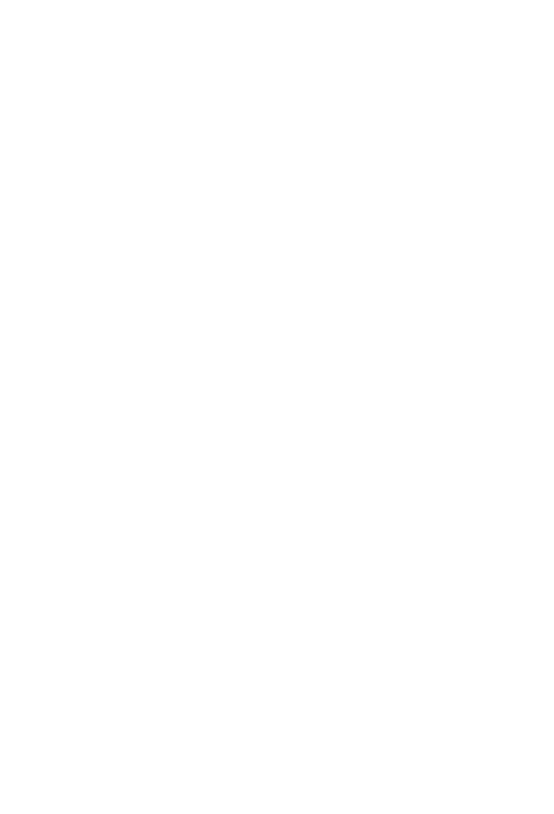combination tones. If the two tones are ultrasonic, the sum frequency will also be ultrasonic, and hence inaudible. The difference frequency, however, will be audible if it lies in the audible range for the ear. The production of an audible difference from two inaudible ultrasonic tones was reported by Lord Raleigh. This shows that the non-linearity, experimentally verified for audible sounds, is not appreciably different for ultrasonic sounds.

In summary, a non-linearity of the ear exists giving rise to a quadratic term in the ear's response. This effect occurs 10 both when the original sounds are audible, or ultrasonic.

If the two ultrasonic tones of different frequencies were beamed at an individual, or a crowd, the difference frequency would be heard, assuming that it lies in the audible range. The frequency could be changed in any desired 15 pattern, or left at a constant frequency, such as a low frequency to increase apprehensivess.

If one wishes to induce a wave with a complex frequency pattern such as a voice, the wave could be used to amplitude modulate one or both of the ultrasonic waves. The frequency 20 of the two waves would likely be the same, or else there would be a background note consisting of the difference tone. Although, it might be preferable to deliberately induce a low frequency to increase apprehensiveness.

The quadratic terms also imply that the "constant" term 25 exists even with only one tone. Thus, a single high amplitude ultrasonic source, amplitude modulated with a voice (a square root of the voice), would induce the voice in the heads of those exposed to the signal. A one projector system, such as system 60, would be the system of choice for, for 30 example, man-portable devices.

**Beat Tones** 

In addition to the combination tones described above, which are due to the quadratic response of the ear, a phenomenon called the "Beat Frequency" effect occurs if the 35 two frequencies are very close together. Beat tones are of importance in the use of very low frequencies, since they are caused by a linear response term, which is generally larger in amplitude than the combination tone.

Observing two waves with slightly different frequencies f 40 and  $f + \delta f$  (with  $\delta f$  small), the linear response will be:

 $R(t)=A^*\{a^*\cos(ft)+b^*\cos[f+\delta f)t]\}$ 

using trigonometric identities:

 $\cos\left\{\left(f+\delta f\right)t\right\}=\cos\left(\delta f t\right)^*\cos\left(f t\right)-\sin\left(\delta f t\right)^*\sin\left(f t\right),$ 

and

 $R(t)=A^*{ [a+b^*cos(\delta ft)]^*cos(ft)-b^*sin(\delta ft)sin(ft) }$ 

Both of these terms include waves with frequency f whose amplitude is modulated at frequency  $\delta f$ . When f is an audible frequency, the pulsing changes in amplitude (beat) are clearly audible.

As the beats increase, the beat frequency becomes harder 55 to distinguish and is gradually perceived as a weaker, independent tone. The beat phenomenon can thus be said to shade the combination tone phenomenon.

Two ultrasonic tones whose combination tone is a very low frequency produce a beat phenomenon, where the beat 60 frequency would equal the combination tone frequency. In this case, the ear would perceive the beat. The amplitude of the beat will be higher than the combination tone since it arises from the linear, rather than the quadratic, response of the ear

Hence, its likely that low frequency sounds, can be induced with particularly high amplitudes.

Producing Undistorted Sounds Using Two Ultrasonic Sound Sources

Real time computer based signal processing can be used to produce an understandable, non-distorted signal from a pair of ultrasonic projectors in the following way.

Assume a sinusoidal signal of frequency  $f_1$  is fed into one of projectors 30 and 50, and the signal for broadcasting is Fourier analyzed in real time by a computer and can be written:

 $f(t)=\sum a_i^* \cos(f_i t).$ 

The computer takes each of the frequencies  $f_i$  and adds  $f_i$ to it, and then constructs the signal:

 $g(t) = \sum a_i^* \cos[(f_i + f_i)t]$ .

If  $g(t)$  is amplified and then fed to the second projector, the signal in the regions where the two beams cross (sound overlap region 55 is:

 $A\cos(f_1t) + Bg(t)$ .

The square of this signal is:

 $A^{2}cos^{2}(f_{1}t) + B^{2}g^{2}(t) + 2ABcos(f_{1})g(t)$ .

We will ignore the first two terms as being both ultrasonic. The third term is:

#### $2AB{\Sigma a_i[\cos(f_1 t)\cos(f_1+f_i t)]}$

Using standard trigonometric identities, this is:

AB{ $\sum a_i [\cos[(f_1+f_1+f_i)t] + \cos[(f_1-f_1-f_i)t]$ }

The first set of these sums will again be ultrasonic, thus not audible. The second set, however, is

 $AB\Sigma a_i\cos(f_i t)$ 

65

(noting that:  $cos(-ft) = cos(tt)$ )

Hence, an amplified form of the signal that we wish to transmit.

Similarly, real time computer based signal processing can be used to produce an understandable, non-distorted signal 45 from a single ultrasonic projector, wherein the square root of an input signal is produced by the computer.

Propagation and Focussing of Ultrasonic Sound

One of the great advantages of using an ultrasonic sound as a carrier for audible sounds is the ease of focussing due to the short wavelength involved. Sounds are a wave 50 phenomenon, just as light, and can be treated mathematically by the same equations that describe light, with appropriate changes in the interpretation of the quantities involved.

Assume a point source of sound placed at or near the focus of sound mirror. Since sound is reflected by a sudden difference in the density of the material of propagation, most materials, such as metals or plastics, will serve as mirrors. As in the case of light, the position of the source at, in front of, or behind the focal point will determine the character of the wave reflected from the mirror. When using the "geometrical optics" approximation, the focal point in front of the mirror is more important. We will be most interested in the case where the sound would be brought to a point focus at some distance in front of the mirror, if we were to use the "geometrical optics" approximation. The sound wave should then be represented by a spherical wave centered on the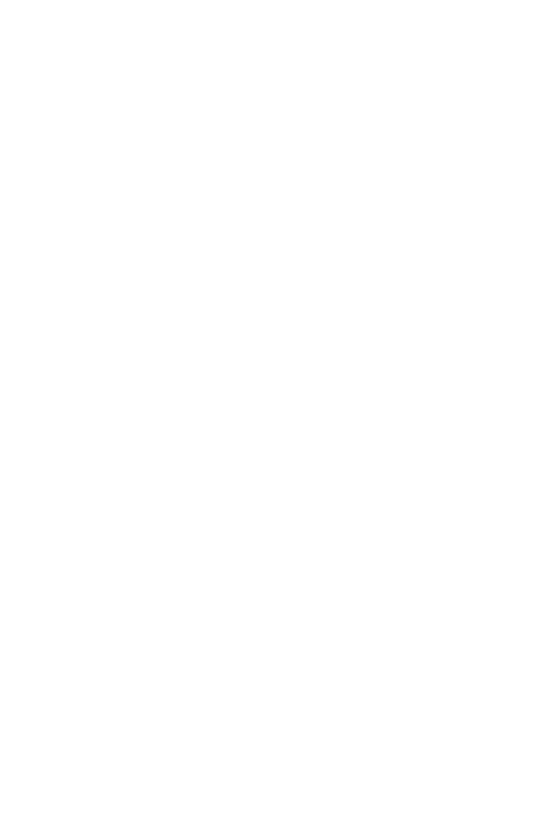15

geometric focal point of the mirror. The wave would not be a complete sphere, however, since the mirror has a finite size. Sound emitted by the source that passed beyond the mirror boundary will not be reflected and focussed at the focal point. The finite size of the mirror causes the wave to exhibit diffraction and not to focus to a geometrical point.

The most pertinent part of the analysis lies in the fact that there is a diffraction circle surrounding the focal point. The radius of the circle is  $00/.610*(1/a)*f$ . In this formula, 1 is the wavelength (the speed of sound  $(3.30-10^4 \text{ cm./sec.})$ ) divided by the frequency), a is the radius of the mirror, and f is the distance to the focal point of the mirror. About 80% of the total energy striking the mirror from the source passes through the diffraction circle described above. This is the basis for the calculation of the source power required to produce a given power flux at the focal point.

By moving the source away from the close focal point of the mirror, the energy will be spread over larger areas in the vicinity of the far focal point. This will be the technique used when a crowd, rather than an individual, is to be exposed.

Another important feature of ultrasonic sound is that it is 20 absorbed by the air to a much greater extent than audible sound. At 1 mhz, an attenuation coefficient for air is  $15(1/$ mtr.), varying as the square of the frequency. This coefficient is for the pressure, so double the calculated value must be used to obtain the attenuation of the intensity, which depends  $_{25}$ on the square of the pressure.

Absorption is moderate for frequencies around 30 kHz, but becomes severe for 100 kHz waves. This will lead to tradeoffs between the better focussing properties of shorter waves and the lower absorption of longer waves.

The many features and advantages of the invention are apparent from the detailed specification and, thus, it is intended by the appended claims to cover all such features and advantages of the invention which fall within the true spirit and scope of the invention. Further, since numerous modifications and changes will readily occur to those skilled <sup>35</sup> in the art, it is not desired to limit the invention to the exact construction and operation illustrated and described, and accordingly all suitable modifications and equivalents may be resorted to, falling within the scope of the invention.

What is claimed is:

1. An apparatus, comprising:

- a unit amplitude modulating an ultrasonic signal with a square root of an information signal to produce a modulated signal; and
- a projector coupled to said unit and projecting the modu- 45 lated signal to a listener.

2. The apparatus according to claim 1, wherein said unit comprises:

- a circuit producing the square root of the information  $\frac{1}{50}$ signal; and
- a modulator amplitude modulating the ultrasonic signal with the square root of the information signal.

3. The apparatus according to claim 2, further comprising:

- a first sound source, coupled to an input of the modulator,  $\frac{55}{65}$ outputting the information signal; and
- a second sound source, coupled to the input of the modulator, outputting the ultrasonic signal.

4. The apparatus according to claim 1, wherein the information signal comprises a voice signal.

5. A method, comprising:

modulating an ultrasonic signal with a square root of an information signal to produce a modulated signal; and projecting the modulated signal to a listener.

6. The method according to claim 5, wherein the modu- 65 lating further comprises producing a square root signal from the information signal.

7. The method according to claim 6, further comprising: amplifying the modulated signal; and

transmitting the amplified modulated signal.

8. The method according to claim 5, wherein the modulating is an amplitude modulation.

- 9. An apparatus, comprising:
- a first modulator frequency modulating a first ultrasonic signal with a first input signal to produce a first modulated ultrasonic signal;
- a first ultrasonic signal source providing a second ultrasonic signal; and
- a broadcasting system, coupled to the first modulator and the ultrasonic signal source, broadcasting the first modulated ultrasonic signal and the second ultrasonic signal to a listener.

10. The apparatus according to claim 9, wherein the broadcasting system comprises:

- a first projector, coupled to the first modulator, projecting the first modulated signal; and
- a second projector, coupled to the ultrasonic signal source, projecting the second ultrasonic signal.

11. The apparatus according to claim 9, further compris- $\text{ing}$ 

- a first input sound source, coupled to the first modulator, outputting the first input signal; and
- a second ultrasonic signal source, coupled to the first modulator, providing the first ultrasonic signal.

12. An apparatus, comprising:

- a first modulator frequency modulating a first ultrasonic signal with a first input signal to produce a first modulated ultrasonic signal;
- a first input sound source, coupled to the first modulator, outputting the first input signal;
- a first ultrasonic signal source providing a second ultrasonic signal;
- a second ultrasonic signal source, coupled to the first modulator, providing the first ultrasonic signal;
- a second modulator amplitude modulating the second ultrasonic signal with a second input signal to produce a second modulated signal;
- a second input sound source, coupled to the second modulator, outputting the second input signal;
- an amplifier, coupled to an output of the second modulator, amplifying the amplitude modulated signal; and
- a broadcasting system, coupled to the first modulator and the ultrasonic signal source, broadcasting the first modulated ultrasonic signal and the second ultrasonic signal to a listener.

13. The apparatus according to claim 12, wherein the first and second ultrasonic signals produce a difference signal for the listener in an audible range of the listener.

14. The apparatus according to claim 12, wherein the input signal comprises a square root of an information signal.

15. The apparatus according to claim 14, wherein the information signal comprises a voice.

16. A method, comprising:

60

frequency modulating a first ultrasonic signal with a first input signal to produce a first modulated signal;

providing a second ultrasonic signal; and

broadcasting the first modulated signal and the second ultrasonic signal to a listener.